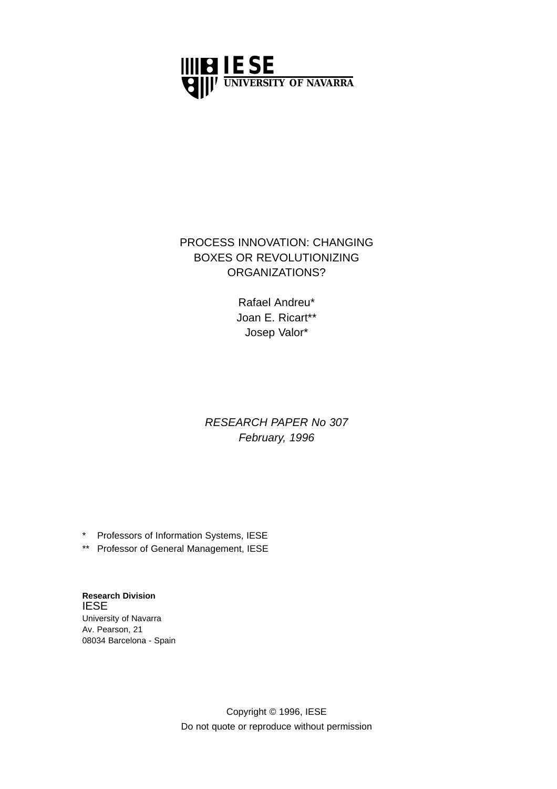

## PROCESS INNOVATION: CHANGING BOXES OR REVOLUTIONIZING ORGANIZATIONS?

Rafael Andreu\* Joan E. Ricart\*\* Josep Valor\*

# RESEARCH PAPER No 307 February, 1996

\* Professors of Information Systems, IESE

\*\* Professor of General Management, IESE

**Research Division** IESE University of Navarra Av. Pearson, 21 08034 Barcelona - Spain

> Copyright © 1996, IESE Do not quote or reproduce without permission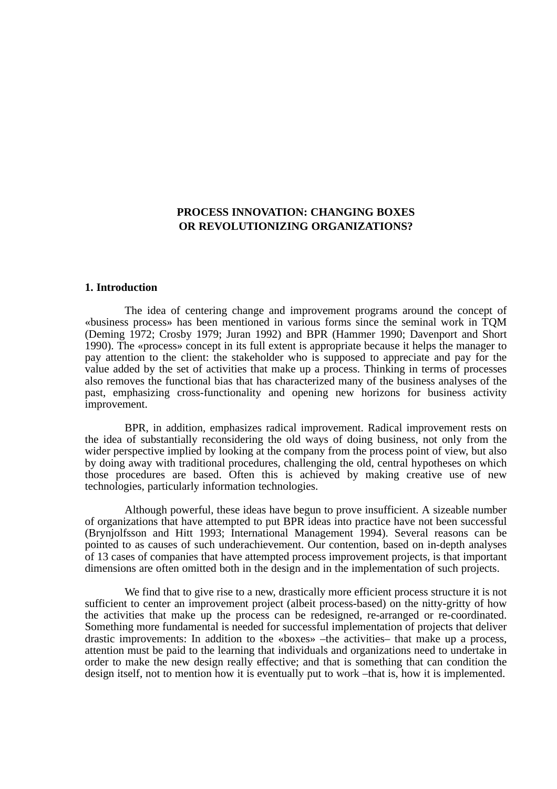### **PROCESS INNOVATION: CHANGING BOXES OR REVOLUTIONIZING ORGANIZATIONS?**

#### **1. Introduction**

The idea of centering change and improvement programs around the concept of «business process» has been mentioned in various forms since the seminal work in TQM (Deming 1972; Crosby 1979; Juran 1992) and BPR (Hammer 1990; Davenport and Short 1990). The «process» concept in its full extent is appropriate because it helps the manager to pay attention to the client: the stakeholder who is supposed to appreciate and pay for the value added by the set of activities that make up a process. Thinking in terms of processes also removes the functional bias that has characterized many of the business analyses of the past, emphasizing cross-functionality and opening new horizons for business activity improvement.

BPR, in addition, emphasizes radical improvement. Radical improvement rests on the idea of substantially reconsidering the old ways of doing business, not only from the wider perspective implied by looking at the company from the process point of view, but also by doing away with traditional procedures, challenging the old, central hypotheses on which those procedures are based. Often this is achieved by making creative use of new technologies, particularly information technologies.

Although powerful, these ideas have begun to prove insufficient. A sizeable number of organizations that have attempted to put BPR ideas into practice have not been successful (Brynjolfsson and Hitt 1993; International Management 1994). Several reasons can be pointed to as causes of such underachievement. Our contention, based on in-depth analyses of 13 cases of companies that have attempted process improvement projects, is that important dimensions are often omitted both in the design and in the implementation of such projects.

We find that to give rise to a new, drastically more efficient process structure it is not sufficient to center an improvement project (albeit process-based) on the nitty-gritty of how the activities that make up the process can be redesigned, re-arranged or re-coordinated. Something more fundamental is needed for successful implementation of projects that deliver drastic improvements: In addition to the «boxes» –the activities– that make up a process, attention must be paid to the learning that individuals and organizations need to undertake in order to make the new design really effective; and that is something that can condition the design itself, not to mention how it is eventually put to work –that is, how it is implemented.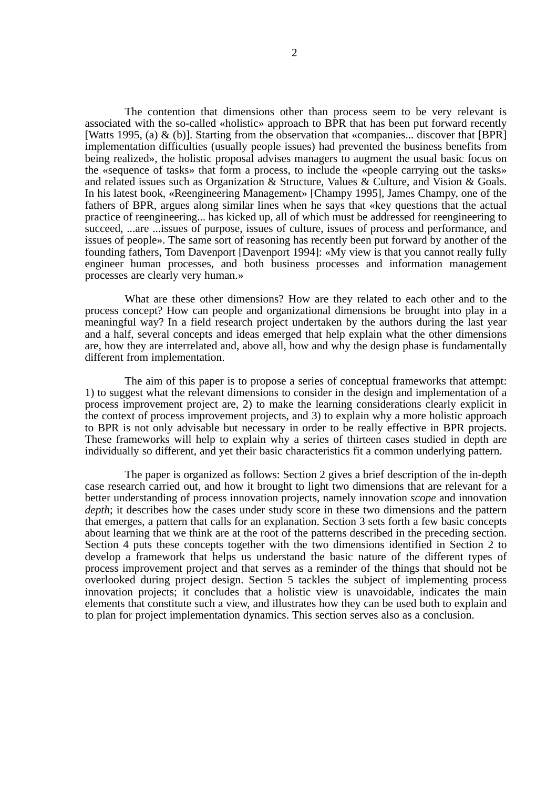The contention that dimensions other than process seem to be very relevant is associated with the so-called «holistic» approach to BPR that has been put forward recently [Watts 1995, (a) & (b)]. Starting from the observation that «companies... discover that [BPR] implementation difficulties (usually people issues) had prevented the business benefits from being realized», the holistic proposal advises managers to augment the usual basic focus on the «sequence of tasks» that form a process, to include the «people carrying out the tasks» and related issues such as Organization & Structure, Values & Culture, and Vision & Goals. In his latest book, «Reengineering Management» [Champy 1995], James Champy, one of the fathers of BPR, argues along similar lines when he says that «key questions that the actual practice of reengineering... has kicked up, all of which must be addressed for reengineering to succeed, ...are ...issues of purpose, issues of culture, issues of process and performance, and issues of people». The same sort of reasoning has recently been put forward by another of the founding fathers, Tom Davenport [Davenport 1994]: «My view is that you cannot really fully engineer human processes, and both business processes and information management processes are clearly very human.»

What are these other dimensions? How are they related to each other and to the process concept? How can people and organizational dimensions be brought into play in a meaningful way? In a field research project undertaken by the authors during the last year and a half, several concepts and ideas emerged that help explain what the other dimensions are, how they are interrelated and, above all, how and why the design phase is fundamentally different from implementation.

The aim of this paper is to propose a series of conceptual frameworks that attempt: 1) to suggest what the relevant dimensions to consider in the design and implementation of a process improvement project are, 2) to make the learning considerations clearly explicit in the context of process improvement projects, and 3) to explain why a more holistic approach to BPR is not only advisable but necessary in order to be really effective in BPR projects. These frameworks will help to explain why a series of thirteen cases studied in depth are individually so different, and yet their basic characteristics fit a common underlying pattern.

The paper is organized as follows: Section 2 gives a brief description of the in-depth case research carried out, and how it brought to light two dimensions that are relevant for a better understanding of process innovation projects, namely innovation *scope* and innovation *depth*; it describes how the cases under study score in these two dimensions and the pattern that emerges, a pattern that calls for an explanation. Section 3 sets forth a few basic concepts about learning that we think are at the root of the patterns described in the preceding section. Section 4 puts these concepts together with the two dimensions identified in Section 2 to develop a framework that helps us understand the basic nature of the different types of process improvement project and that serves as a reminder of the things that should not be overlooked during project design. Section 5 tackles the subject of implementing process innovation projects; it concludes that a holistic view is unavoidable, indicates the main elements that constitute such a view, and illustrates how they can be used both to explain and to plan for project implementation dynamics. This section serves also as a conclusion.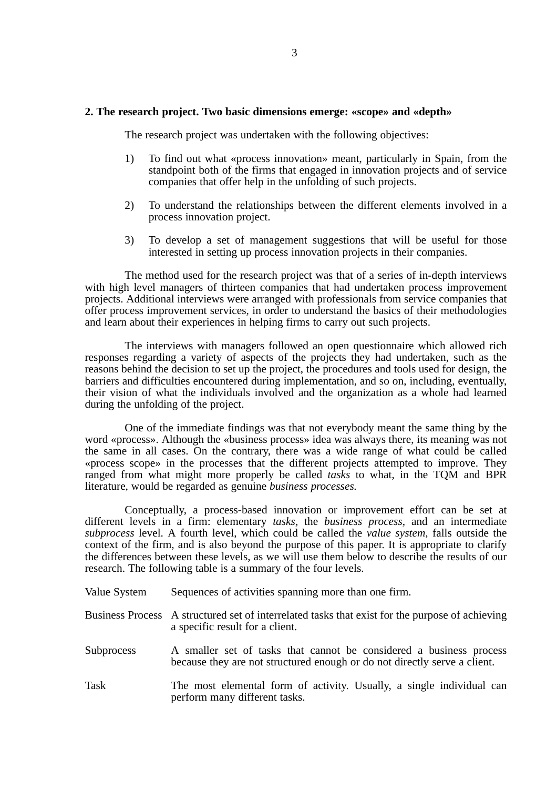#### **2. The research project. Two basic dimensions emerge: «scope» and «depth»**

The research project was undertaken with the following objectives:

- 1) To find out what «process innovation» meant, particularly in Spain, from the standpoint both of the firms that engaged in innovation projects and of service companies that offer help in the unfolding of such projects.
- 2) To understand the relationships between the different elements involved in a process innovation project.
- 3) To develop a set of management suggestions that will be useful for those interested in setting up process innovation projects in their companies.

The method used for the research project was that of a series of in-depth interviews with high level managers of thirteen companies that had undertaken process improvement projects. Additional interviews were arranged with professionals from service companies that offer process improvement services, in order to understand the basics of their methodologies and learn about their experiences in helping firms to carry out such projects.

The interviews with managers followed an open questionnaire which allowed rich responses regarding a variety of aspects of the projects they had undertaken, such as the reasons behind the decision to set up the project, the procedures and tools used for design, the barriers and difficulties encountered during implementation, and so on, including, eventually, their vision of what the individuals involved and the organization as a whole had learned during the unfolding of the project.

One of the immediate findings was that not everybody meant the same thing by the word «process». Although the «business process» idea was always there, its meaning was not the same in all cases. On the contrary, there was a wide range of what could be called «process scope» in the processes that the different projects attempted to improve. They ranged from what might more properly be called *tasks* to what, in the TQM and BPR literature, would be regarded as genuine *business processes.*

Conceptually, a process-based innovation or improvement effort can be set at different levels in a firm: elementary *tasks,* the *business process,* and an intermediate *subprocess* level. A fourth level, which could be called the *value system,* falls outside the context of the firm, and is also beyond the purpose of this paper. It is appropriate to clarify the differences between these levels, as we will use them below to describe the results of our research. The following table is a summary of the four levels.

- Value System Sequences of activities spanning more than one firm.
- Business Process A structured set of interrelated tasks that exist for the purpose of achieving a specific result for a client.
- Subprocess A smaller set of tasks that cannot be considered a business process because they are not structured enough or do not directly serve a client.
- Task The most elemental form of activity. Usually, a single individual can perform many different tasks.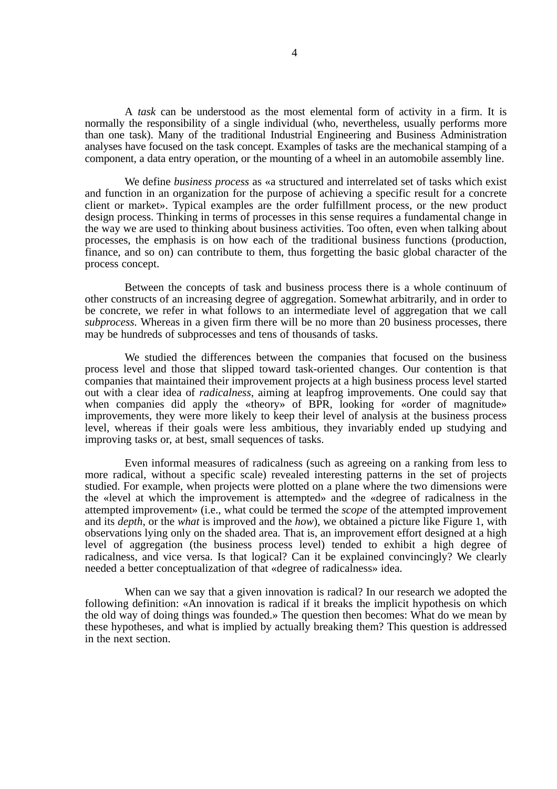A *task* can be understood as the most elemental form of activity in a firm. It is normally the responsibility of a single individual (who, nevertheless, usually performs more than one task). Many of the traditional Industrial Engineering and Business Administration analyses have focused on the task concept. Examples of tasks are the mechanical stamping of a component, a data entry operation, or the mounting of a wheel in an automobile assembly line.

We define *business process* as «a structured and interrelated set of tasks which exist and function in an organization for the purpose of achieving a specific result for a concrete client or market». Typical examples are the order fulfillment process, or the new product design process. Thinking in terms of processes in this sense requires a fundamental change in the way we are used to thinking about business activities. Too often, even when talking about processes, the emphasis is on how each of the traditional business functions (production, finance, and so on) can contribute to them, thus forgetting the basic global character of the process concept.

Between the concepts of task and business process there is a whole continuum of other constructs of an increasing degree of aggregation. Somewhat arbitrarily, and in order to be concrete, we refer in what follows to an intermediate level of aggregation that we call *subprocess.* Whereas in a given firm there will be no more than 20 business processes, there may be hundreds of subprocesses and tens of thousands of tasks.

We studied the differences between the companies that focused on the business process level and those that slipped toward task-oriented changes. Our contention is that companies that maintained their improvement projects at a high business process level started out with a clear idea of *radicalness,* aiming at leapfrog improvements. One could say that when companies did apply the «theory» of BPR, looking for «order of magnitude» improvements, they were more likely to keep their level of analysis at the business process level, whereas if their goals were less ambitious, they invariably ended up studying and improving tasks or, at best, small sequences of tasks.

Even informal measures of radicalness (such as agreeing on a ranking from less to more radical, without a specific scale) revealed interesting patterns in the set of projects studied. For example, when projects were plotted on a plane where the two dimensions were the «level at which the improvement is attempted» and the «degree of radicalness in the attempted improvement» (i.e., what could be termed the *scope* of the attempted improvement and its *depth*, or the *what* is improved and the *how*), we obtained a picture like Figure 1, with observations lying only on the shaded area. That is, an improvement effort designed at a high level of aggregation (the business process level) tended to exhibit a high degree of radicalness, and vice versa. Is that logical? Can it be explained convincingly? We clearly needed a better conceptualization of that «degree of radicalness» idea.

When can we say that a given innovation is radical? In our research we adopted the following definition: «An innovation is radical if it breaks the implicit hypothesis on which the old way of doing things was founded.» The question then becomes: What do we mean by these hypotheses, and what is implied by actually breaking them? This question is addressed in the next section.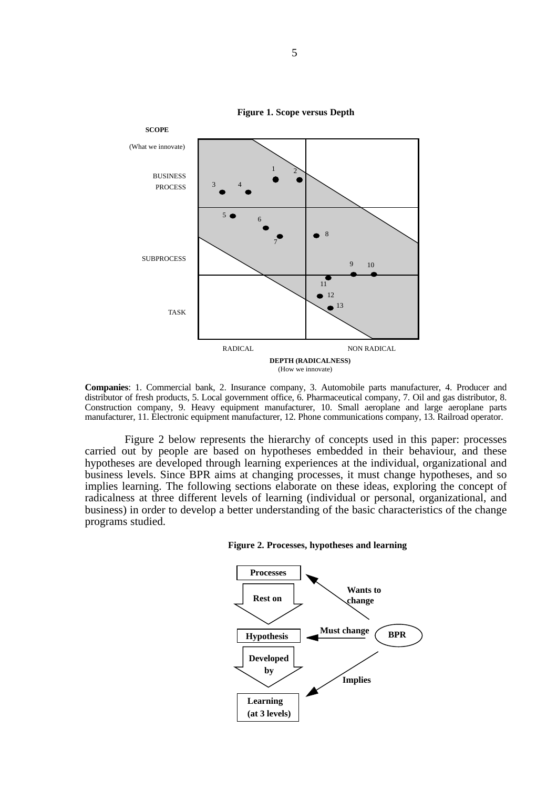

**Figure 1. Scope versus Depth**

**Companies**: 1. Commercial bank, 2. Insurance company, 3. Automobile parts manufacturer, 4. Producer and distributor of fresh products, 5. Local government office, 6. Pharmaceutical company, 7. Oil and gas distributor, 8. Construction company, 9. Heavy equipment manufacturer, 10. Small aeroplane and large aeroplane parts manufacturer, 11. Electronic equipment manufacturer, 12. Phone communications company, 13. Railroad operator.

Figure 2 below represents the hierarchy of concepts used in this paper: processes carried out by people are based on hypotheses embedded in their behaviour, and these hypotheses are developed through learning experiences at the individual, organizational and business levels. Since BPR aims at changing processes, it must change hypotheses, and so implies learning. The following sections elaborate on these ideas, exploring the concept of radicalness at three different levels of learning (individual or personal, organizational, and business) in order to develop a better understanding of the basic characteristics of the change programs studied.



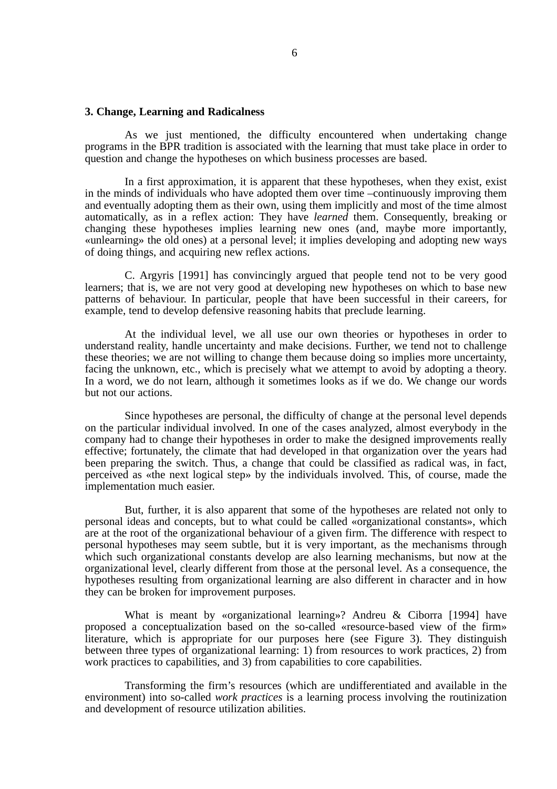#### **3. Change, Learning and Radicalness**

As we just mentioned, the difficulty encountered when undertaking change programs in the BPR tradition is associated with the learning that must take place in order to question and change the hypotheses on which business processes are based.

In a first approximation, it is apparent that these hypotheses, when they exist, exist in the minds of individuals who have adopted them over time –continuously improving them and eventually adopting them as their own, using them implicitly and most of the time almost automatically, as in a reflex action: They have *learned* them. Consequently, breaking or changing these hypotheses implies learning new ones (and, maybe more importantly, «unlearning» the old ones) at a personal level; it implies developing and adopting new ways of doing things, and acquiring new reflex actions.

C. Argyris [1991] has convincingly argued that people tend not to be very good learners; that is, we are not very good at developing new hypotheses on which to base new patterns of behaviour. In particular, people that have been successful in their careers, for example, tend to develop defensive reasoning habits that preclude learning.

At the individual level, we all use our own theories or hypotheses in order to understand reality, handle uncertainty and make decisions. Further, we tend not to challenge these theories; we are not willing to change them because doing so implies more uncertainty, facing the unknown, etc., which is precisely what we attempt to avoid by adopting a theory. In a word, we do not learn, although it sometimes looks as if we do. We change our words but not our actions.

Since hypotheses are personal, the difficulty of change at the personal level depends on the particular individual involved. In one of the cases analyzed, almost everybody in the company had to change their hypotheses in order to make the designed improvements really effective; fortunately, the climate that had developed in that organization over the years had been preparing the switch. Thus, a change that could be classified as radical was, in fact, perceived as «the next logical step» by the individuals involved. This, of course, made the implementation much easier.

But, further, it is also apparent that some of the hypotheses are related not only to personal ideas and concepts, but to what could be called «organizational constants», which are at the root of the organizational behaviour of a given firm. The difference with respect to personal hypotheses may seem subtle, but it is very important, as the mechanisms through which such organizational constants develop are also learning mechanisms, but now at the organizational level, clearly different from those at the personal level. As a consequence, the hypotheses resulting from organizational learning are also different in character and in how they can be broken for improvement purposes.

What is meant by «organizational learning»? Andreu & Ciborra [1994] have proposed a conceptualization based on the so-called «resource-based view of the firm» literature, which is appropriate for our purposes here (see Figure 3). They distinguish between three types of organizational learning: 1) from resources to work practices, 2) from work practices to capabilities, and 3) from capabilities to core capabilities.

Transforming the firm's resources (which are undifferentiated and available in the environment) into so-called *work practices* is a learning process involving the routinization and development of resource utilization abilities.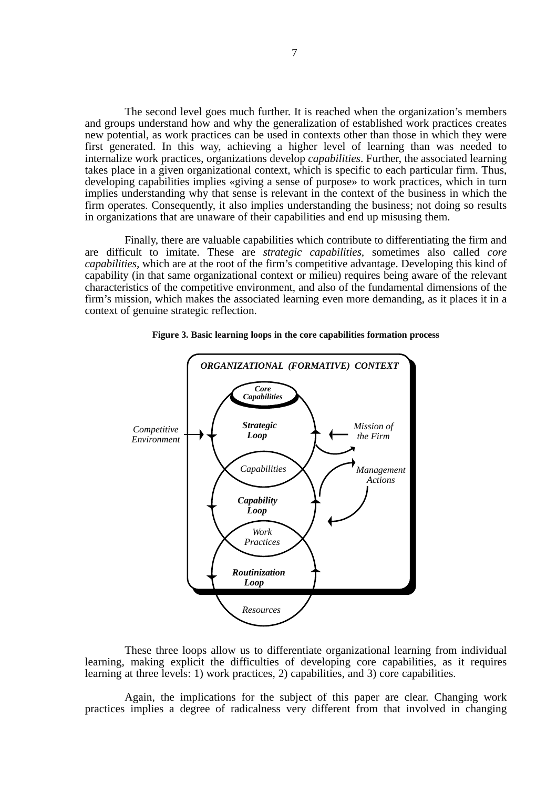The second level goes much further. It is reached when the organization's members and groups understand how and why the generalization of established work practices creates new potential, as work practices can be used in contexts other than those in which they were first generated. In this way, achieving a higher level of learning than was needed to internalize work practices, organizations develop *capabilities*. Further, the associated learning takes place in a given organizational context, which is specific to each particular firm. Thus, developing capabilities implies «giving a sense of purpose» to work practices, which in turn implies understanding why that sense is relevant in the context of the business in which the firm operates. Consequently, it also implies understanding the business; not doing so results in organizations that are unaware of their capabilities and end up misusing them.

Finally, there are valuable capabilities which contribute to differentiating the firm and are difficult to imitate. These are *strategic capabilities,* sometimes also called *core capabilities,* which are at the root of the firm's competitive advantage. Developing this kind of capability (in that same organizational context or milieu) requires being aware of the relevant characteristics of the competitive environment, and also of the fundamental dimensions of the firm's mission, which makes the associated learning even more demanding, as it places it in a context of genuine strategic reflection.



**Figure 3. Basic learning loops in the core capabilities formation process**

These three loops allow us to differentiate organizational learning from individual learning, making explicit the difficulties of developing core capabilities, as it requires learning at three levels: 1) work practices, 2) capabilities, and 3) core capabilities.

Again, the implications for the subject of this paper are clear. Changing work practices implies a degree of radicalness very different from that involved in changing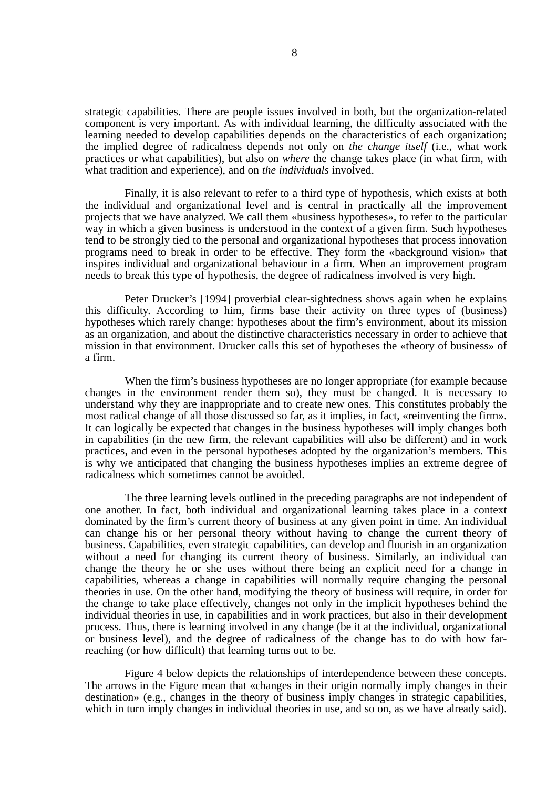strategic capabilities. There are people issues involved in both, but the organization-related component is very important. As with individual learning, the difficulty associated with the learning needed to develop capabilities depends on the characteristics of each organization; the implied degree of radicalness depends not only on *the change itself* (i.e., what work practices or what capabilities), but also on *where* the change takes place (in what firm, with what tradition and experience), and on *the individuals* involved.

Finally, it is also relevant to refer to a third type of hypothesis, which exists at both the individual and organizational level and is central in practically all the improvement projects that we have analyzed. We call them «business hypotheses», to refer to the particular way in which a given business is understood in the context of a given firm. Such hypotheses tend to be strongly tied to the personal and organizational hypotheses that process innovation programs need to break in order to be effective. They form the «background vision» that inspires individual and organizational behaviour in a firm. When an improvement program needs to break this type of hypothesis, the degree of radicalness involved is very high.

Peter Drucker's [1994] proverbial clear-sightedness shows again when he explains this difficulty. According to him, firms base their activity on three types of (business) hypotheses which rarely change: hypotheses about the firm's environment, about its mission as an organization, and about the distinctive characteristics necessary in order to achieve that mission in that environment. Drucker calls this set of hypotheses the «theory of business» of a firm.

When the firm's business hypotheses are no longer appropriate (for example because changes in the environment render them so), they must be changed. It is necessary to understand why they are inappropriate and to create new ones. This constitutes probably the most radical change of all those discussed so far, as it implies, in fact, «reinventing the firm». It can logically be expected that changes in the business hypotheses will imply changes both in capabilities (in the new firm, the relevant capabilities will also be different) and in work practices, and even in the personal hypotheses adopted by the organization's members. This is why we anticipated that changing the business hypotheses implies an extreme degree of radicalness which sometimes cannot be avoided.

The three learning levels outlined in the preceding paragraphs are not independent of one another. In fact, both individual and organizational learning takes place in a context dominated by the firm's current theory of business at any given point in time. An individual can change his or her personal theory without having to change the current theory of business. Capabilities, even strategic capabilities, can develop and flourish in an organization without a need for changing its current theory of business. Similarly, an individual can change the theory he or she uses without there being an explicit need for a change in capabilities, whereas a change in capabilities will normally require changing the personal theories in use. On the other hand, modifying the theory of business will require, in order for the change to take place effectively, changes not only in the implicit hypotheses behind the individual theories in use, in capabilities and in work practices, but also in their development process. Thus, there is learning involved in any change (be it at the individual, organizational or business level), and the degree of radicalness of the change has to do with how farreaching (or how difficult) that learning turns out to be.

Figure 4 below depicts the relationships of interdependence between these concepts. The arrows in the Figure mean that «changes in their origin normally imply changes in their destination» (e.g., changes in the theory of business imply changes in strategic capabilities, which in turn imply changes in individual theories in use, and so on, as we have already said).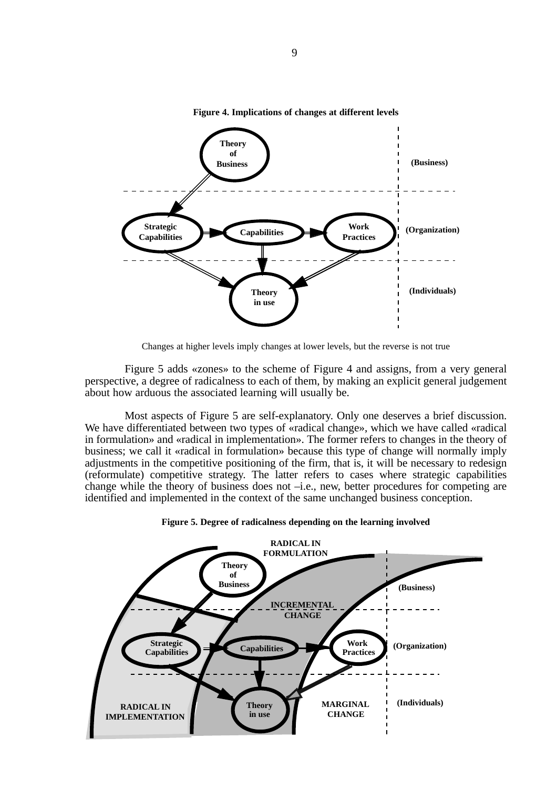

**Figure 4. Implications of changes at different levels**

Changes at higher levels imply changes at lower levels, but the reverse is not true

Figure 5 adds «zones» to the scheme of Figure 4 and assigns, from a very general perspective, a degree of radicalness to each of them, by making an explicit general judgement about how arduous the associated learning will usually be.

Most aspects of Figure 5 are self-explanatory. Only one deserves a brief discussion. We have differentiated between two types of «radical change», which we have called «radical in formulation» and «radical in implementation». The former refers to changes in the theory of business; we call it «radical in formulation» because this type of change will normally imply adjustments in the competitive positioning of the firm, that is, it will be necessary to redesign (reformulate) competitive strategy. The latter refers to cases where strategic capabilities change while the theory of business does not –i.e., new, better procedures for competing are identified and implemented in the context of the same unchanged business conception.



**Figure 5. Degree of radicalness depending on the learning involved**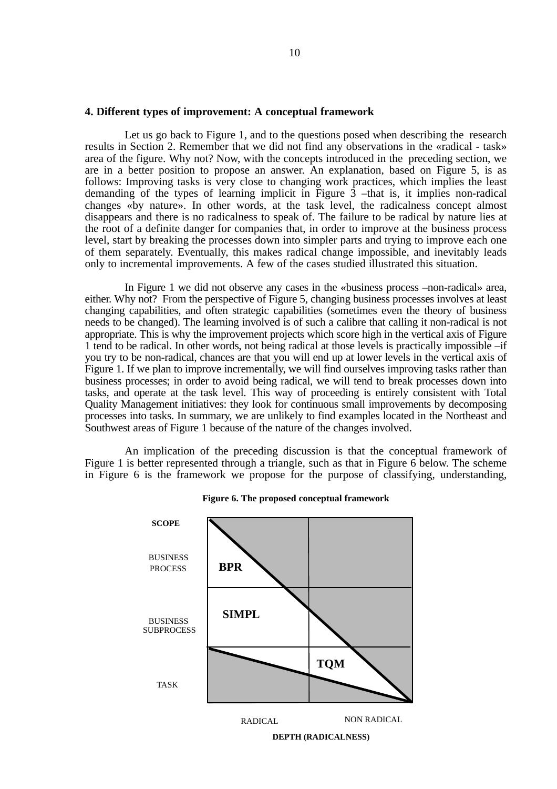#### **4. Different types of improvement: A conceptual framework**

Let us go back to Figure 1, and to the questions posed when describing the research results in Section 2. Remember that we did not find any observations in the «radical - task» area of the figure. Why not? Now, with the concepts introduced in the preceding section, we are in a better position to propose an answer. An explanation, based on Figure 5, is as follows: Improving tasks is very close to changing work practices, which implies the least demanding of the types of learning implicit in Figure  $\overline{3}$  –that is, it implies non-radical changes «by nature». In other words, at the task level, the radicalness concept almost disappears and there is no radicalness to speak of. The failure to be radical by nature lies at the root of a definite danger for companies that, in order to improve at the business process level, start by breaking the processes down into simpler parts and trying to improve each one of them separately. Eventually, this makes radical change impossible, and inevitably leads only to incremental improvements. A few of the cases studied illustrated this situation.

In Figure 1 we did not observe any cases in the «business process –non-radical» area, either. Why not? From the perspective of Figure 5, changing business processes involves at least changing capabilities, and often strategic capabilities (sometimes even the theory of business needs to be changed). The learning involved is of such a calibre that calling it non-radical is not appropriate. This is why the improvement projects which score high in the vertical axis of Figure 1 tend to be radical. In other words, not being radical at those levels is practically impossible –if you try to be non-radical, chances are that you will end up at lower levels in the vertical axis of Figure 1. If we plan to improve incrementally, we will find ourselves improving tasks rather than business processes; in order to avoid being radical, we will tend to break processes down into tasks, and operate at the task level. This way of proceeding is entirely consistent with Total Quality Management initiatives: they look for continuous small improvements by decomposing processes into tasks. In summary, we are unlikely to find examples located in the Northeast and Southwest areas of Figure 1 because of the nature of the changes involved.

An implication of the preceding discussion is that the conceptual framework of Figure 1 is better represented through a triangle, such as that in Figure 6 below. The scheme in Figure 6 is the framework we propose for the purpose of classifying, understanding,



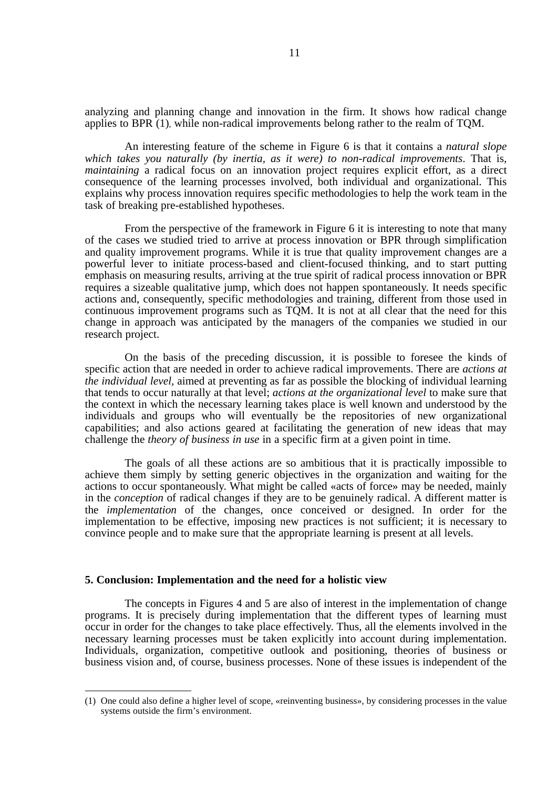analyzing and planning change and innovation in the firm. It shows how radical change applies to BPR (1), while non-radical improvements belong rather to the realm of TQM.

An interesting feature of the scheme in Figure 6 is that it contains a *natural slope which takes you naturally (by inertia, as it were) to non-radical improvements*. That is, *maintaining* a radical focus on an innovation project requires explicit effort, as a direct consequence of the learning processes involved, both individual and organizational. This explains why process innovation requires specific methodologies to help the work team in the task of breaking pre-established hypotheses.

From the perspective of the framework in Figure 6 it is interesting to note that many of the cases we studied tried to arrive at process innovation or BPR through simplification and quality improvement programs. While it is true that quality improvement changes are a powerful lever to initiate process-based and client-focused thinking, and to start putting emphasis on measuring results, arriving at the true spirit of radical process innovation or BPR requires a sizeable qualitative jump, which does not happen spontaneously. It needs specific actions and, consequently, specific methodologies and training, different from those used in continuous improvement programs such as TQM. It is not at all clear that the need for this change in approach was anticipated by the managers of the companies we studied in our research project.

On the basis of the preceding discussion, it is possible to foresee the kinds of specific action that are needed in order to achieve radical improvements. There are *actions at the individual level,* aimed at preventing as far as possible the blocking of individual learning that tends to occur naturally at that level; *actions at the organizational level* to make sure that the context in which the necessary learning takes place is well known and understood by the individuals and groups who will eventually be the repositories of new organizational capabilities; and also actions geared at facilitating the generation of new ideas that may challenge the *theory of business in use* in a specific firm at a given point in time.

The goals of all these actions are so ambitious that it is practically impossible to achieve them simply by setting generic objectives in the organization and waiting for the actions to occur spontaneously. What might be called «acts of force» may be needed, mainly in the *conception* of radical changes if they are to be genuinely radical. A different matter is the *implementation* of the changes, once conceived or designed. In order for the implementation to be effective, imposing new practices is not sufficient; it is necessary to convince people and to make sure that the appropriate learning is present at all levels.

### **5. Conclusion: Implementation and the need for a holistic view**

The concepts in Figures 4 and 5 are also of interest in the implementation of change programs. It is precisely during implementation that the different types of learning must occur in order for the changes to take place effectively. Thus, all the elements involved in the necessary learning processes must be taken explicitly into account during implementation. Individuals, organization, competitive outlook and positioning, theories of business or business vision and, of course, business processes. None of these issues is independent of the

<sup>(1)</sup> One could also define a higher level of scope, «reinventing business», by considering processes in the value systems outside the firm's environment.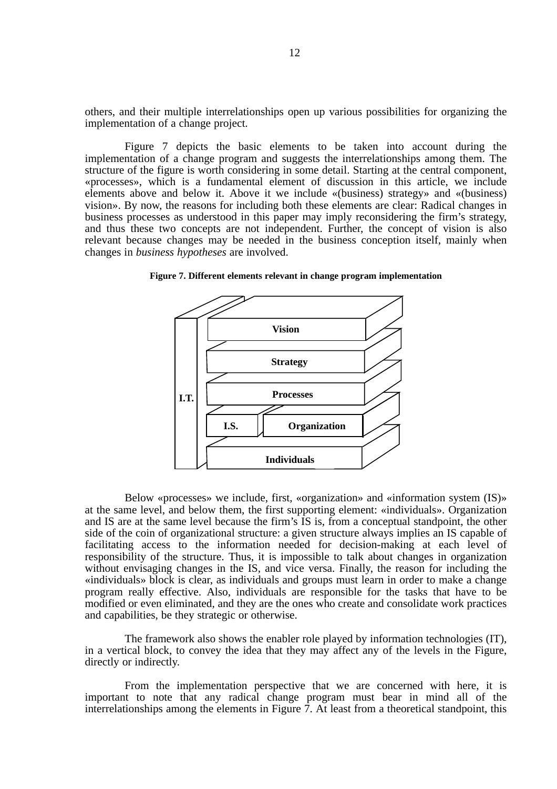others, and their multiple interrelationships open up various possibilities for organizing the implementation of a change project.

Figure 7 depicts the basic elements to be taken into account during the implementation of a change program and suggests the interrelationships among them. The structure of the figure is worth considering in some detail. Starting at the central component, «processes», which is a fundamental element of discussion in this article, we include elements above and below it. Above it we include «(business) strategy» and «(business) vision». By now, the reasons for including both these elements are clear: Radical changes in business processes as understood in this paper may imply reconsidering the firm's strategy, and thus these two concepts are not independent. Further, the concept of vision is also relevant because changes may be needed in the business conception itself, mainly when changes in *business hypotheses* are involved.



**Figure 7. Different elements relevant in change program implementation**

Below «processes» we include, first, «organization» and «information system (IS)» at the same level, and below them, the first supporting element: «individuals». Organization and IS are at the same level because the firm's IS is, from a conceptual standpoint, the other side of the coin of organizational structure: a given structure always implies an IS capable of facilitating access to the information needed for decision-making at each level of responsibility of the structure. Thus, it is impossible to talk about changes in organization without envisaging changes in the IS, and vice versa. Finally, the reason for including the «individuals» block is clear, as individuals and groups must learn in order to make a change program really effective. Also, individuals are responsible for the tasks that have to be modified or even eliminated, and they are the ones who create and consolidate work practices and capabilities, be they strategic or otherwise.

The framework also shows the enabler role played by information technologies (IT), in a vertical block, to convey the idea that they may affect any of the levels in the Figure, directly or indirectly.

From the implementation perspective that we are concerned with here, it is important to note that any radical change program must bear in mind all of the interrelationships among the elements in Figure 7. At least from a theoretical standpoint, this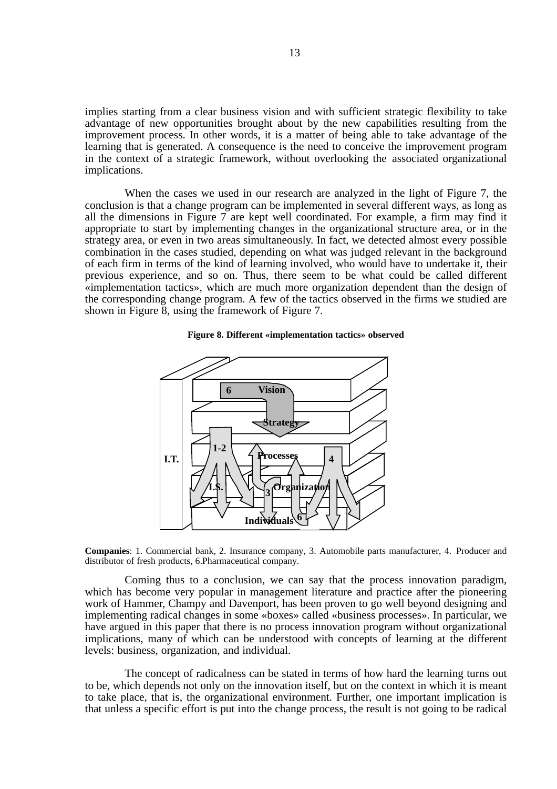implies starting from a clear business vision and with sufficient strategic flexibility to take advantage of new opportunities brought about by the new capabilities resulting from the improvement process. In other words, it is a matter of being able to take advantage of the learning that is generated. A consequence is the need to conceive the improvement program in the context of a strategic framework, without overlooking the associated organizational implications.

When the cases we used in our research are analyzed in the light of Figure 7, the conclusion is that a change program can be implemented in several different ways, as long as all the dimensions in Figure 7 are kept well coordinated. For example, a firm may find it appropriate to start by implementing changes in the organizational structure area, or in the strategy area, or even in two areas simultaneously. In fact, we detected almost every possible combination in the cases studied, depending on what was judged relevant in the background of each firm in terms of the kind of learning involved, who would have to undertake it, their previous experience, and so on. Thus, there seem to be what could be called different «implementation tactics», which are much more organization dependent than the design of the corresponding change program. A few of the tactics observed in the firms we studied are shown in Figure 8, using the framework of Figure 7.



#### **Figure 8. Different «implementation tactics» observed**

**Companies**: 1. Commercial bank, 2. Insurance company, 3. Automobile parts manufacturer, 4. Producer and distributor of fresh products, 6.Pharmaceutical company.

Coming thus to a conclusion, we can say that the process innovation paradigm, which has become very popular in management literature and practice after the pioneering work of Hammer, Champy and Davenport, has been proven to go well beyond designing and implementing radical changes in some «boxes» called «business processes». In particular, we have argued in this paper that there is no process innovation program without organizational implications, many of which can be understood with concepts of learning at the different levels: business, organization, and individual.

The concept of radicalness can be stated in terms of how hard the learning turns out to be, which depends not only on the innovation itself, but on the context in which it is meant to take place, that is, the organizational environment. Further, one important implication is that unless a specific effort is put into the change process, the result is not going to be radical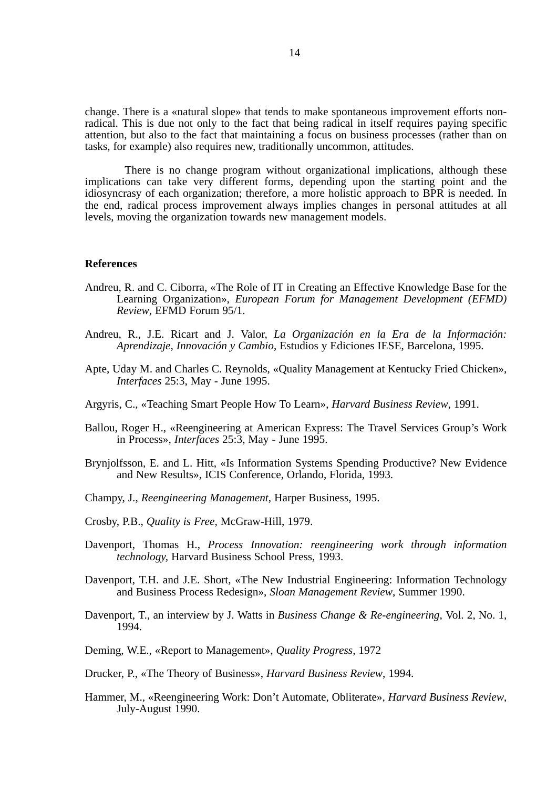change. There is a «natural slope» that tends to make spontaneous improvement efforts nonradical. This is due not only to the fact that being radical in itself requires paying specific attention, but also to the fact that maintaining a focus on business processes (rather than on tasks, for example) also requires new, traditionally uncommon, attitudes.

There is no change program without organizational implications, although these implications can take very different forms, depending upon the starting point and the idiosyncrasy of each organization; therefore, a more holistic approach to BPR is needed. In the end, radical process improvement always implies changes in personal attitudes at all levels, moving the organization towards new management models.

#### **References**

- Andreu, R. and C. Ciborra, «The Role of IT in Creating an Effective Knowledge Base for the Learning Organization», *European Forum for Management Development (EFMD) Review*, EFMD Forum 95/1.
- Andreu, R., J.E. Ricart and J. Valor, *La Organización en la Era de la Información: Aprendizaje, Innovación y Cambio*, Estudios y Ediciones IESE, Barcelona, 1995.
- Apte, Uday M. and Charles C. Reynolds, «Quality Management at Kentucky Fried Chicken», *Interfaces* 25:3, May - June 1995.
- Argyris, C., «Teaching Smart People How To Learn», *Harvard Business Review*, 1991.
- Ballou, Roger H., «Reengineering at American Express: The Travel Services Group's Work in Process», *Interfaces* 25:3, May - June 1995.
- Brynjolfsson, E. and L. Hitt, «Is Information Systems Spending Productive? New Evidence and New Results», ICIS Conference, Orlando, Florida, 1993.
- Champy, J., *Reengineering Management*, Harper Business, 1995.
- Crosby, P.B., *Quality is Free*, McGraw-Hill, 1979.
- Davenport, Thomas H., *Process Innovation: reengineering work through information technology,* Harvard Business School Press, 1993.
- Davenport, T.H. and J.E. Short, «The New Industrial Engineering: Information Technology and Business Process Redesign», *Sloan Management Review*, Summer 1990.
- Davenport, T., an interview by J. Watts in *Business Change & Re-engineering*, Vol. 2, No. 1, 1994.
- Deming, W.E., «Report to Management», *Quality Progress*, 1972
- Drucker, P., «The Theory of Business», *Harvard Business Review*, 1994.
- Hammer, M., «Reengineering Work: Don't Automate, Obliterate», *Harvard Business Review*, July-August 1990.